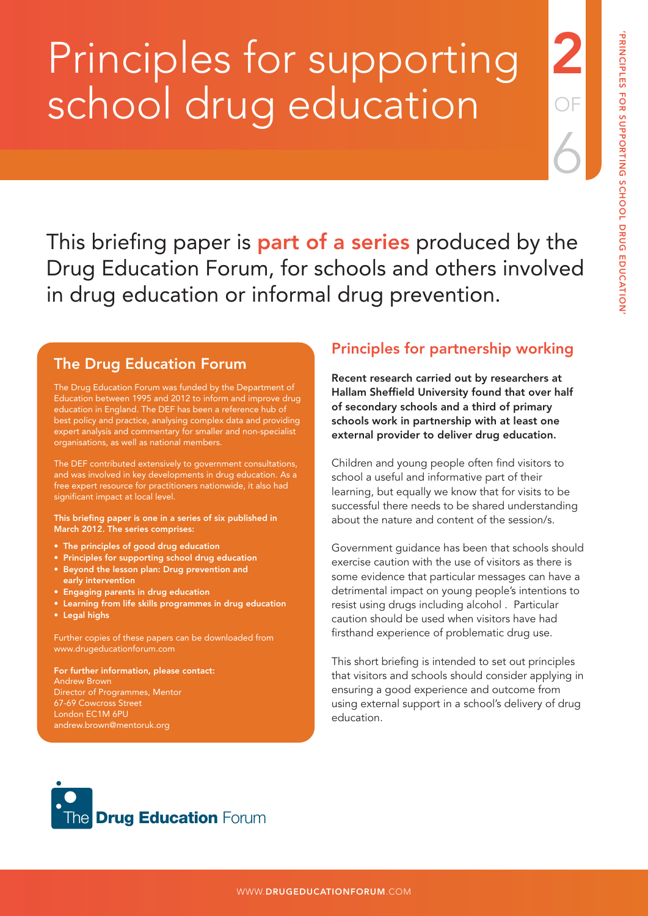2

OF

6

# Principles for supporting school drug education

This briefing paper is **part of a series** produced by the Drug Education Forum, for schools and others involved in drug education or informal drug prevention.

## The Drug Education Forum

The Drug Education Forum was funded by the Department of Education between 1995 and 2012 to inform and improve drug education in England. The DEF has been a reference hub of best policy and practice, analysing complex data and providing expert analysis and commentary for smaller and non-specialist organisations, as well as national members.

The DEF contributed extensively to government consultations, and was involved in key developments in drug education. As a free expert resource for practitioners nationwide, it also had significant impact at local level.

This briefing paper is one in a series of six published in March 2012. The series comprises:

- The principles of good drug education
- Principles for supporting school drug education
- Beyond the lesson plan: Drug prevention and early intervention
- Engaging parents in drug education
- Learning from life skills programmes in drug education
- Legal highs

Further copies of these papers can be downloaded from www.drugeducationforum.com

For further information, please contact: Andrew Brown Director of Programmes, Mentor 67-69 Cowcross Street London EC1M 6PU andrew.brown@mentoruk.org

## Principles for partnership working

Recent research carried out by researchers at Hallam Sheffield University found that over half of secondary schools and a third of primary schools work in partnership with at least one external provider to deliver drug education.

Children and young people often find visitors to school a useful and informative part of their learning, but equally we know that for visits to be successful there needs to be shared understanding about the nature and content of the session/s.

Government guidance has been that schools should exercise caution with the use of visitors as there is some evidence that particular messages can have a detrimental impact on young people's intentions to resist using drugs including alcohol . Particular caution should be used when visitors have had firsthand experience of problematic drug use.

This short briefing is intended to set out principles that visitors and schools should consider applying in ensuring a good experience and outcome from using external support in a school's delivery of drug education.